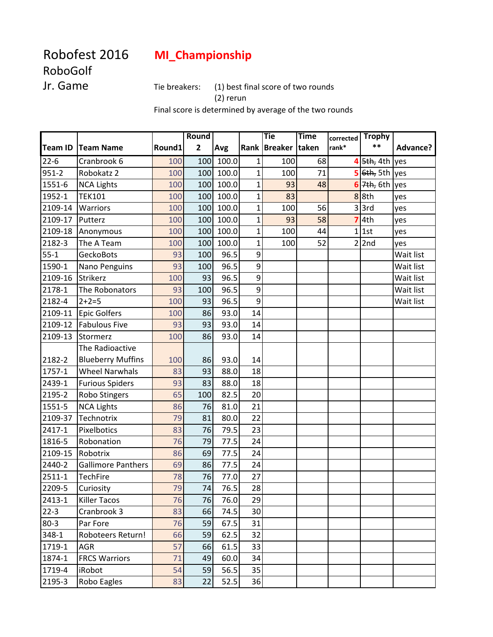## Robofest 2016 **MI\_Championship**

## RoboGolf

Jr. Game Tie breakers: (1) best final score of two rounds

(2) rerun

Final score is determined by average of the two rounds

|                |                           |        | <b>Round</b>            |       |                 | <b>Tie</b>   | <b>Time</b> | corrected | <b>Trophy</b>                   |           |
|----------------|---------------------------|--------|-------------------------|-------|-----------------|--------------|-------------|-----------|---------------------------------|-----------|
| <b>Team ID</b> | <b>Team Name</b>          | Round1 | $\overline{\mathbf{2}}$ | Avg   |                 | Rank Breaker | taken       | rank*     | $***$                           | Advance?  |
| $22 - 6$       | Cranbrook 6               | 100    | 100                     | 100.0 | 1               | 100          | 68          |           | $4 \overline{\smash{5th, 4th}}$ | yes       |
| 951-2          | Robokatz 2                | 100    | 100                     | 100.0 | $\overline{1}$  | 100          | 71          |           | 5 6th, 5th                      | yes       |
| 1551-6         | <b>NCA Lights</b>         | 100    | 100                     | 100.0 | $\mathbf{1}$    | 93           | 48          | 6         | 7 <sub>th, 6th</sub>            | yes       |
| 1952-1         | <b>TEK101</b>             | 100    | 100                     | 100.0 | $\mathbf 1$     | 83           |             |           | 88th                            | yes       |
| 2109-14        | Warriors                  | 100    | 100                     | 100.0 | $\mathbf{1}$    | 100          | 56          |           | $3$ 3rd                         | yes       |
| 2109-17        | Putterz                   | 100    | 100                     | 100.0 | $\mathbf{1}$    | 93           | 58          | 7         | 4th                             | yes       |
| 2109-18        | Anonymous                 | 100    | 100                     | 100.0 | $\mathbf{1}$    | 100          | 44          |           | $1$ 1st                         | yes       |
| 2182-3         | The A Team                | 100    | 100                     | 100.0 | $\mathbf{1}$    | 100          | 52          |           | $2$  2nd                        | yes       |
| $55 - 1$       | GeckoBots                 | 93     | 100                     | 96.5  | 9               |              |             |           |                                 | Wait list |
| 1590-1         | Nano Penguins             | 93     | 100                     | 96.5  | 9               |              |             |           |                                 | Wait list |
| 2109-16        | Strikerz                  | 100    | 93                      | 96.5  | 9               |              |             |           |                                 | Wait list |
| 2178-1         | The Robonators            | 93     | 100                     | 96.5  | 9               |              |             |           |                                 | Wait list |
| 2182-4         | $2 + 2 = 5$               | 100    | 93                      | 96.5  | $\overline{9}$  |              |             |           |                                 | Wait list |
| 2109-11        | <b>Epic Golfers</b>       | 100    | 86                      | 93.0  | 14              |              |             |           |                                 |           |
| 2109-12        | <b>Fabulous Five</b>      | 93     | 93                      | 93.0  | 14              |              |             |           |                                 |           |
| 2109-13        | Stormerz                  | 100    | 86                      | 93.0  | 14              |              |             |           |                                 |           |
|                | The Radioactive           |        |                         |       |                 |              |             |           |                                 |           |
| 2182-2         | <b>Blueberry Muffins</b>  | 100    | 86                      | 93.0  | 14              |              |             |           |                                 |           |
| 1757-1         | <b>Wheel Narwhals</b>     | 83     | 93                      | 88.0  | 18              |              |             |           |                                 |           |
| 2439-1         | <b>Furious Spiders</b>    | 93     | 83                      | 88.0  | 18              |              |             |           |                                 |           |
| 2195-2         | Robo Stingers             | 65     | 100                     | 82.5  | 20              |              |             |           |                                 |           |
| 1551-5         | <b>NCA Lights</b>         | 86     | 76                      | 81.0  | 21              |              |             |           |                                 |           |
| 2109-37        | Technotrix                | 79     | 81                      | 80.0  | 22              |              |             |           |                                 |           |
| 2417-1         | Pixelbotics               | 83     | 76                      | 79.5  | 23              |              |             |           |                                 |           |
| 1816-5         | Robonation                | 76     | 79                      | 77.5  | 24              |              |             |           |                                 |           |
| 2109-15        | Robotrix                  | 86     | 69                      | 77.5  | 24              |              |             |           |                                 |           |
| 2440-2         | <b>Gallimore Panthers</b> | 69     | 86                      | 77.5  | 24              |              |             |           |                                 |           |
| 2511-1         | <b>TechFire</b>           | 78     | 76                      | 77.0  | 27              |              |             |           |                                 |           |
| 2209-5         | Curiosity                 | 79     | 74                      | 76.5  | 28              |              |             |           |                                 |           |
| 2413-1         | <b>Killer Tacos</b>       | 76     | 76                      | 76.0  | 29              |              |             |           |                                 |           |
| $22-3$         | Cranbrook 3               | 83     | 66                      | 74.5  | 30 <sup>°</sup> |              |             |           |                                 |           |
| $80 - 3$       | Par Fore                  | 76     | 59                      | 67.5  | 31              |              |             |           |                                 |           |
| 348-1          | Roboteers Return!         | 66     | 59                      | 62.5  | 32              |              |             |           |                                 |           |
| 1719-1         | <b>AGR</b>                | 57     | 66                      | 61.5  | 33              |              |             |           |                                 |           |
| 1874-1         | <b>FRCS Warriors</b>      | 71     | 49                      | 60.0  | 34              |              |             |           |                                 |           |
| 1719-4         | iRobot                    | 54     | 59                      | 56.5  | 35              |              |             |           |                                 |           |
| 2195-3         | Robo Eagles               | 83     | 22                      | 52.5  | 36              |              |             |           |                                 |           |